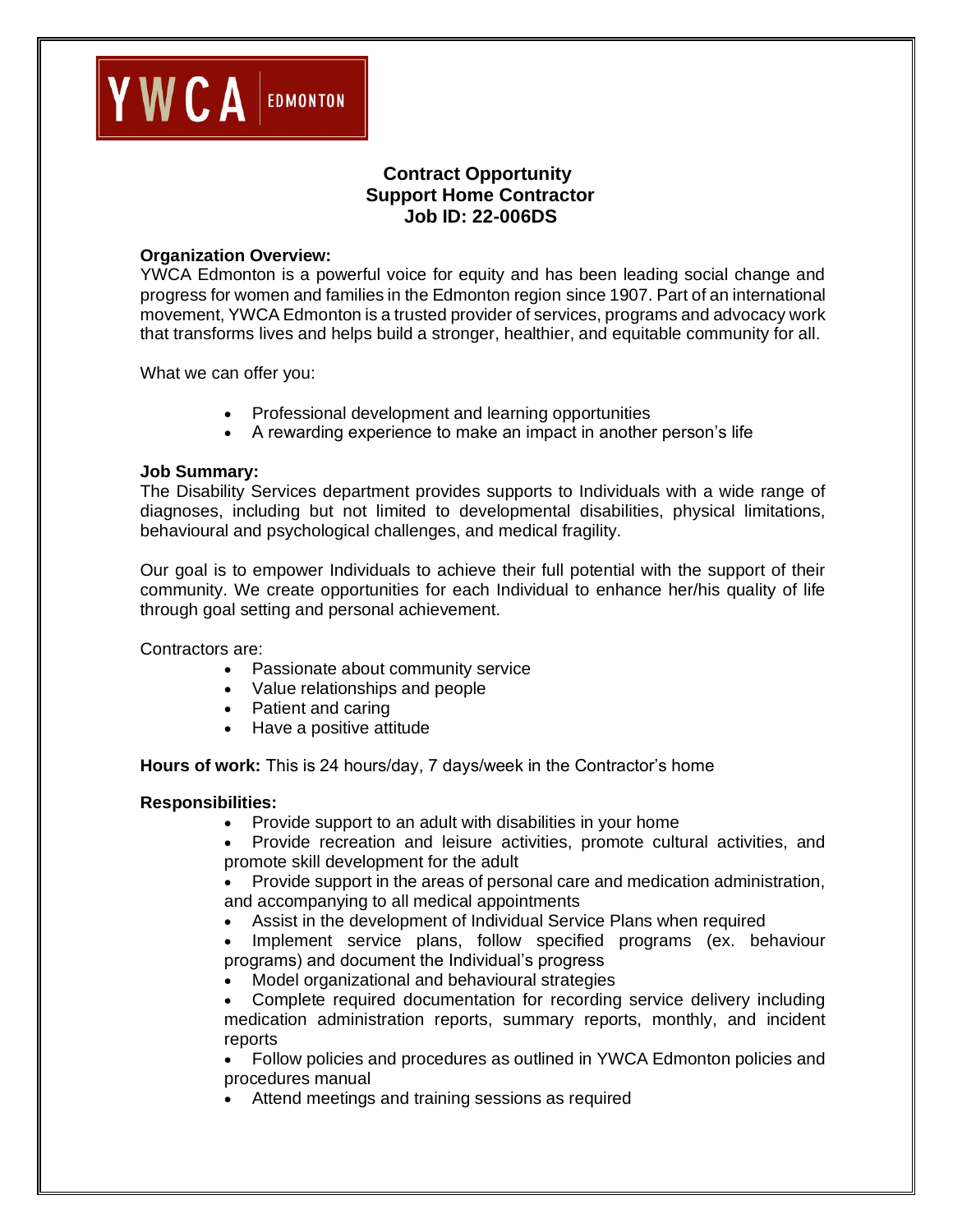

# **Contract Opportunity Support Home Contractor Job ID: 22-006DS**

#### **Organization Overview:**

YWCA Edmonton is a powerful voice for equity and has been leading social change and progress for women and families in the Edmonton region since 1907. Part of an international movement, YWCA Edmonton is a trusted provider of services, programs and advocacy work that transforms lives and helps build a stronger, healthier, and equitable community for all.

What we can offer you:

- Professional development and learning opportunities
- A rewarding experience to make an impact in another person's life

#### **Job Summary:**

The Disability Services department provides supports to Individuals with a wide range of diagnoses, including but not limited to developmental disabilities, physical limitations, behavioural and psychological challenges, and medical fragility.

Our goal is to empower Individuals to achieve their full potential with the support of their community. We create opportunities for each Individual to enhance her/his quality of life through goal setting and personal achievement.

Contractors are:

- Passionate about community service
- Value relationships and people
- Patient and caring
- Have a positive attitude

**Hours of work:** This is 24 hours/day, 7 days/week in the Contractor's home

#### **Responsibilities:**

- Provide support to an adult with disabilities in your home
- Provide recreation and leisure activities, promote cultural activities, and promote skill development for the adult
- Provide support in the areas of personal care and medication administration, and accompanying to all medical appointments
- Assist in the development of Individual Service Plans when required
- Implement service plans, follow specified programs (ex. behaviour programs) and document the Individual's progress
- Model organizational and behavioural strategies
- Complete required documentation for recording service delivery including medication administration reports, summary reports, monthly, and incident reports

• Follow policies and procedures as outlined in YWCA Edmonton policies and procedures manual

• Attend meetings and training sessions as required